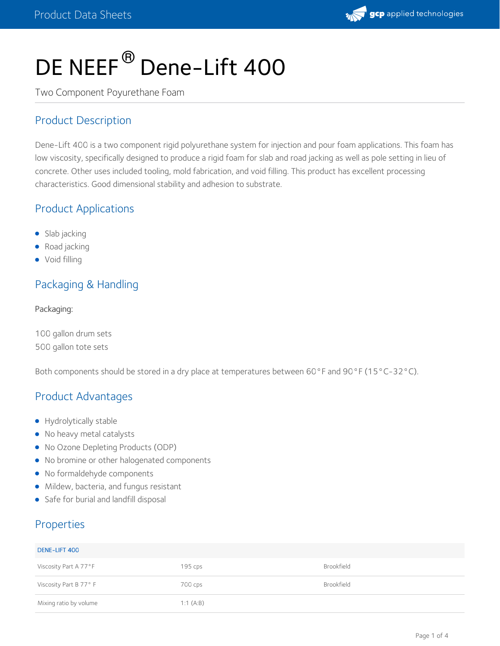

# DE NEEF<sup>®</sup> Dene-Lift 400

Two Component Poyurethane Foam

#### Product Description

Dene-Lift 400 is a two component rigid polyurethane system for injection and pour foam applications. This foam has low viscosity, specifically designed to produce a rigid foam for slab and road jacking as well as pole setting in lieu of concrete. Other uses included tooling, mold fabrication, and void filling. This product has excellent processing characteristics. Good dimensional stability and adhesion to substrate.

#### Product Applications

- Slab jacking
- Road jacking
- Void filling

#### Packaging & Handling

#### Packaging:

100 gallon drum sets 500 gallon tote sets

Both components should be stored in a dry place at temperatures between 60°F and 90°F (15°C-32°C).

#### Product Advantages

- **•** Hydrolytically stable
- No heavy metal catalysts
- No Ozone Depleting Products (ODP)
- No bromine or other halogenated components
- No formaldehyde components
- Mildew, bacteria, and fungus resistant
- Safe for burial and landfill disposal

#### Properties

| DENE-LIFT 400          |           |            |
|------------------------|-----------|------------|
| Viscosity Part A 77°F  | $195$ cps | Brookfield |
| Viscosity Part B 77° F | 700 cps   | Brookfield |
| Mixing ratio by volume | 1:1(A:B)  |            |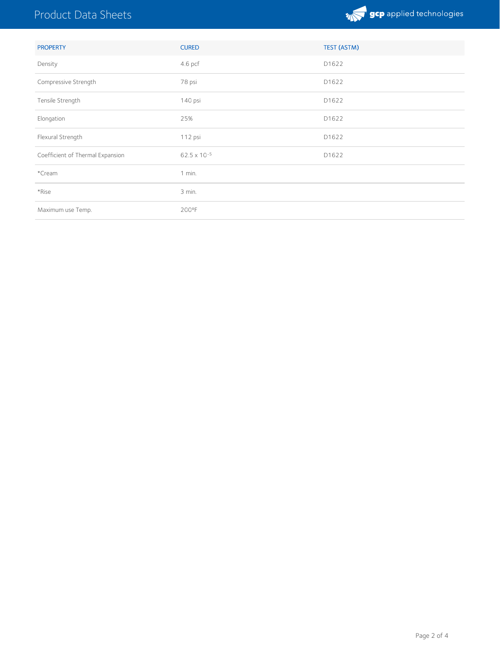## Product Data Sheets



| <b>PROPERTY</b>                  | <b>CURED</b> | TEST (ASTM) |
|----------------------------------|--------------|-------------|
| Density                          | 4.6 pcf      | D1622       |
| Compressive Strength             | 78 psi       | D1622       |
| Tensile Strength                 | 140 psi      | D1622       |
| Elongation                       | 25%          | D1622       |
| Flexural Strength                | 112 psi      | D1622       |
| Coefficient of Thermal Expansion | 62.5 x 10-5  | D1622       |
| *Cream                           | 1 min.       |             |
| *Rise                            | 3 min.       |             |
| Maximum use Temp.                | 200°F        |             |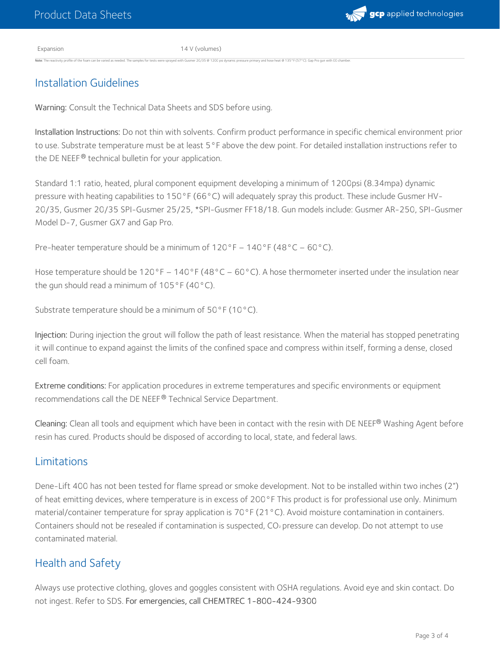Expansion 14 V (volumes)

ner 20/35 @ 1200 psi dynamic pressure primary and hose heat @ 135°F (57°C). Gap Pro gun with 00 c

#### Installation Guidelines

Warning: Consult the Technical Data Sheets and SDS before using.

Installation Instructions: Do not thin with solvents. Confirm product performance in specific chemical environment prior to use. Substrate temperature must be at least 5°F above the dew point. For detailed installation instructions refer to the DE NEEF® technical bulletin for your application.

Standard 1:1 ratio, heated, plural component equipment developing a minimum of 1200psi (8.34mpa) dynamic pressure with heating capabilities to 150°F (66°C) will adequately spray this product. These include Gusmer HV- 20/35, Gusmer 20/35 SPI-Gusmer 25/25, \*SPI-Gusmer FF18/18. Gun models include: Gusmer AR-250, SPI-Gusmer Model D-7, Gusmer GX7 and Gap Pro.

Pre-heater temperature should be a minimum of  $120^{\circ}F - 140^{\circ}F (48^{\circ}C - 60^{\circ}C)$ .

Hose temperature should be 120°F – 140°F (48°C – 60°C). A hose thermometer inserted under the insulation near the gun should read a minimum of 105°F (40°C).

Substrate temperature should be a minimum of 50°F (10°C).

Injection: During injection the grout will follow the path of least resistance. When the material has stopped penetrating it will continue to expand against the limits of the confined space and compress within itself, forming a dense, closed cell foam.

Extreme conditions: For application procedures in extreme temperatures and specific environments or equipment recommendations call the DE NEEF® Technical Service Department.

**Cleaning:** Clean all tools and equipment which have been in contact with the resin with DE NEEF® Washing Agent before resin has cured. Products should be disposed of according to local, state, and federal laws.

#### Limitations

Dene-Lift 400 has not been tested for flame spread or smoke development. Not to be installed within two inches (2") of heat emitting devices, where temperature is in excess of 200°F This product is for professional use only. Minimum material/container temperature for spray application is 70°F (21°C). Avoid moisture contamination in containers. Containers should not be resealed if contamination is suspected, CO<sup>2</sup> pressure can develop. Do not attempt to use contaminated material.

#### Health and Safety

Always use protective clothing, gloves and goggles consistent with OSHA regulations. Avoid eye and skin contact. Do not ingest. Refer to SDS. For emergencies, call CHEMTREC 1-800-424-9300